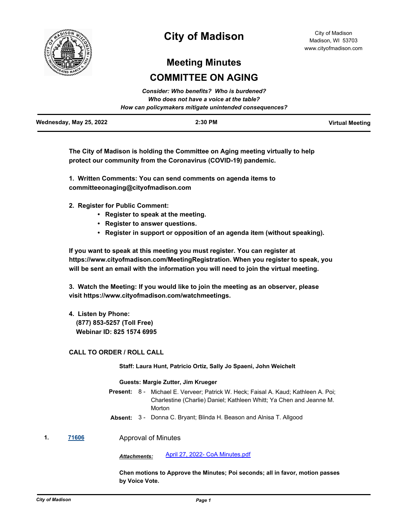

# **City of Madison**

City of Madison Madison, WI 53703 www.cityofmadison.com

# **Meeting Minutes COMMITTEE ON AGING**

| Consider: Who benefits? Who is burdened?<br>Who does not have a voice at the table? |                                                        |                        |
|-------------------------------------------------------------------------------------|--------------------------------------------------------|------------------------|
|                                                                                     | How can policymakers mitigate unintended consequences? |                        |
| Wednesday, May 25, 2022                                                             | $2:30$ PM                                              | <b>Virtual Meeting</b> |

**The City of Madison is holding the Committee on Aging meeting virtually to help protect our community from the Coronavirus (COVID-19) pandemic.**

**1. Written Comments: You can send comments on agenda items to committeeonaging@cityofmadison.com**

**2. Register for Public Comment:** 

- **Register to speak at the meeting.**
- **Register to answer questions.**
- **Register in support or opposition of an agenda item (without speaking).**

**If you want to speak at this meeting you must register. You can register at https://www.cityofmadison.com/MeetingRegistration. When you register to speak, you will be sent an email with the information you will need to join the virtual meeting.**

**3. Watch the Meeting: If you would like to join the meeting as an observer, please visit https://www.cityofmadison.com/watchmeetings.**

**4. Listen by Phone:**

 **(877) 853-5257 (Toll Free) Webinar ID: 825 1574 6995**

## **CALL TO ORDER / ROLL CALL**

## **Staff: Laura Hunt, Patricio Ortiz, Sally Jo Spaeni, John Weichelt**

## **Guests: Margie Zutter, Jim Krueger**

Present: 8 - Michael E. Verveer; Patrick W. Heck; Faisal A. Kaud; Kathleen A. Poi; Charlestine (Charlie) Daniel; Kathleen Whitt; Ya Chen and Jeanne M. **Morton** 

- **Absent:** 3 Donna C. Bryant; Blinda H. Beason and Alnisa T. Allgood
- **1. [71606](http://madison.legistar.com/gateway.aspx?m=l&id=/matter.aspx?key=83476)** Approval of Minutes

*Attachments:* [April 27, 2022- CoA Minutes.pdf](http://madison.legistar.com/gateway.aspx?M=F&ID=a81a899e-c3f6-4b75-9198-3b903228e5d4.pdf)

**Chen motions to Approve the Minutes; Poi seconds; all in favor, motion passes by Voice Vote.**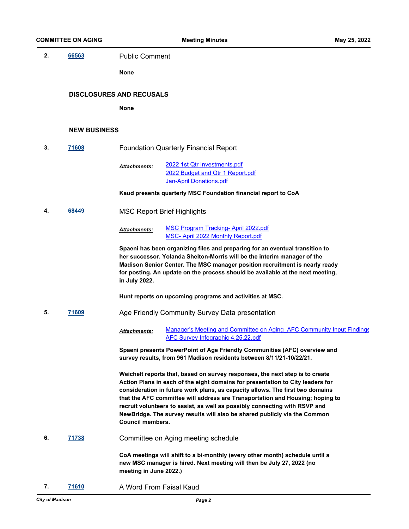**2. [66563](http://madison.legistar.com/gateway.aspx?m=l&id=/matter.aspx?key=78663)** Public Comment

**None**

#### **DISCLOSURES AND RECUSALS**

**None**

#### **NEW BUSINESS**

**3. [71608](http://madison.legistar.com/gateway.aspx?m=l&id=/matter.aspx?key=83478)** Foundation Quarterly Financial Report

[2022 1st Qtr Investments.pdf](http://madison.legistar.com/gateway.aspx?M=F&ID=9bdd3113-cf80-43db-844b-a59a3736e78b.pdf) [2022 Budget and Qtr 1 Report.pdf](http://madison.legistar.com/gateway.aspx?M=F&ID=f37539de-3311-4d5e-88fc-742a62892aa8.pdf) [Jan-April Donations.pdf](http://madison.legistar.com/gateway.aspx?M=F&ID=798fbc5a-fdc3-48ad-86c2-d551f77fbd61.pdf) *Attachments:*

**Kaud presents quarterly MSC Foundation financial report to CoA**

**4. [68449](http://madison.legistar.com/gateway.aspx?m=l&id=/matter.aspx?key=80138)** MSC Report Brief Highlights

[MSC Program Tracking- April 2022.pdf](http://madison.legistar.com/gateway.aspx?M=F&ID=d4ed5d14-0f06-4156-8de9-2d98137bd222.pdf) [MSC- April 2022 Monthly Report.pdf](http://madison.legistar.com/gateway.aspx?M=F&ID=828031e5-7d87-439e-8f2c-fc668a29ac97.pdf) *Attachments:*

**Spaeni has been organizing files and preparing for an eventual transition to her successor. Yolanda Shelton-Morris will be the interim manager of the Madison Senior Center. The MSC manager position recruitment is nearly ready for posting. An update on the process should be available at the next meeting, in July 2022.**

**Hunt reports on upcoming programs and activities at MSC.**

**5. [71609](http://madison.legistar.com/gateway.aspx?m=l&id=/matter.aspx?key=83479)** Age Friendly Community Survey Data presentation

Manager's Meeting and Committee on Aging AFC Community Input Findings [AFC Survey Infographic 4.25.22.pdf](http://madison.legistar.com/gateway.aspx?M=F&ID=02b9b112-c44b-4725-b082-85f52067d7f9.pdf) *Attachments:*

**Spaeni presents PowerPoint of Age Friendly Communities (AFC) overview and survey results, from 961 Madison residents between 8/11/21-10/22/21.**

**Weichelt reports that, based on survey responses, the next step is to create Action Plans in each of the eight domains for presentation to City leaders for consideration in future work plans, as capacity allows. The first two domains that the AFC committee will address are Transportation and Housing; hoping to recruit volunteers to assist, as well as possibly connecting with RSVP and NewBridge. The survey results will also be shared publicly via the Common Council members.**

**6. [71738](http://madison.legistar.com/gateway.aspx?m=l&id=/matter.aspx?key=83595)** Committee on Aging meeting schedule

**CoA meetings will shift to a bi-monthly (every other month) schedule until a new MSC manager is hired. Next meeting will then be July 27, 2022 (no meeting in June 2022.)**

**7. [71610](http://madison.legistar.com/gateway.aspx?m=l&id=/matter.aspx?key=83480)** A Word From Faisal Kaud